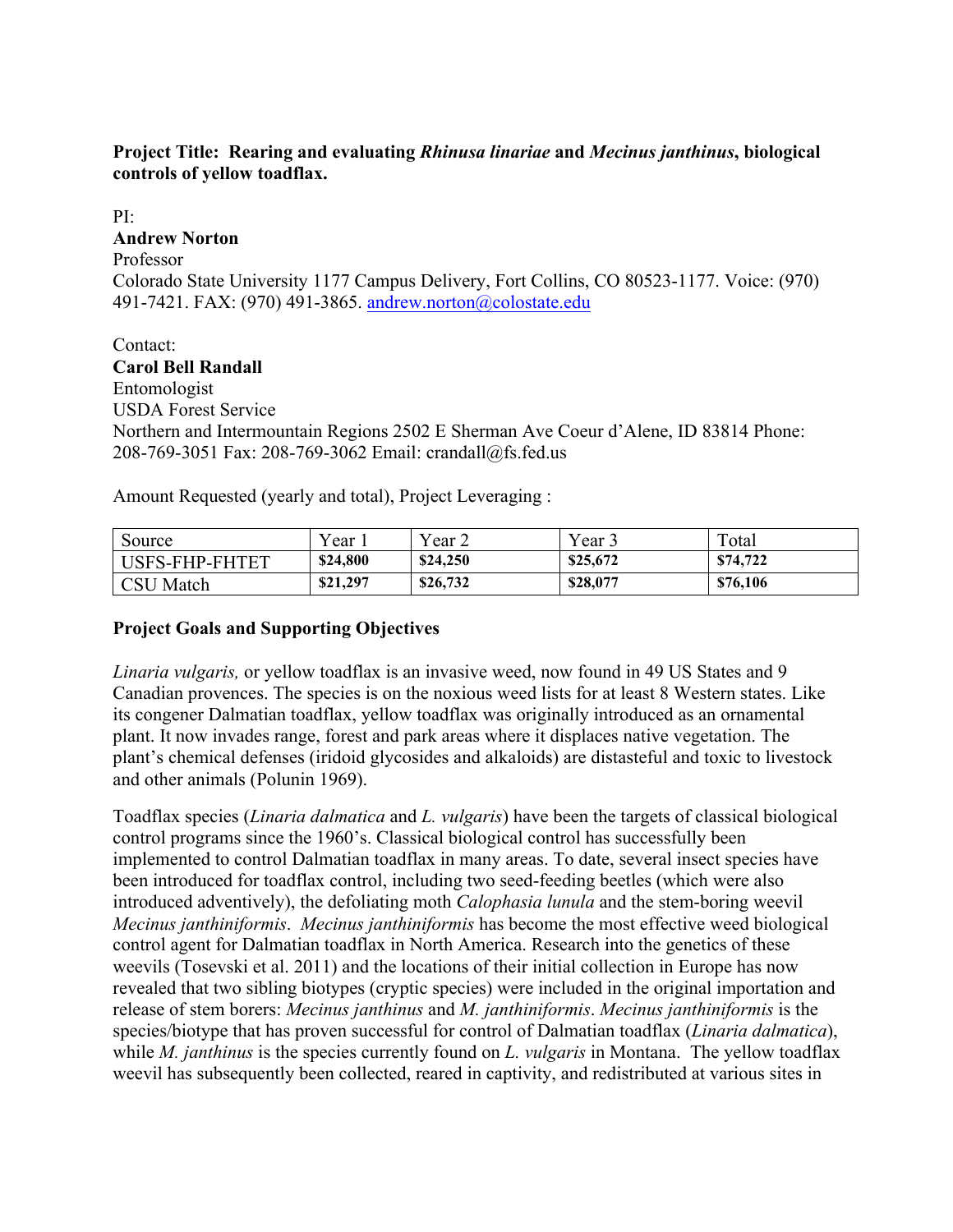## **Project Title: Rearing and evaluating** *Rhinusa linariae* **and** *Mecinus janthinus***, biological controls of yellow toadflax.**

## $PI:$ **Andrew Norton**  Professor Colorado State University 1177 Campus Delivery, Fort Collins, CO 80523-1177. Voice: (970) 491-7421. FAX: (970) 491-3865. andrew.norton@colostate.edu

# Contact: 208-769-3051 Fax: 208-769-3062 Email: crandall@fs.fed.us Amount Requested (yearly and total), Project Leveraging : **Carol Bell Randall**  Entomologist USDA Forest Service Northern and Intermountain Regions 2502 E Sherman Ave Coeur d'Alene, ID 83814 Phone:

| Source         | ′ear     | Year <sub>2</sub> | Year     | Total    |
|----------------|----------|-------------------|----------|----------|
| USFS-FHP-FHTET | \$24,800 | \$24,250          | \$25,672 | \$74,722 |
| CSU<br>Match   | \$21,297 | \$26,732          | \$28,077 | \$76,106 |

## **Project Goals and Supporting Objectives**

and other animals (Polunin 1969). *Linaria vulgaris,* or yellow toadflax is an invasive weed, now found in 49 US States and 9 Canadian provences. The species is on the noxious weed lists for at least 8 Western states. Like its congener Dalmatian toadflax, yellow toadflax was originally introduced as an ornamental plant. It now invades range, forest and park areas where it displaces native vegetation. The plant's chemical defenses (iridoid glycosides and alkaloids) are distasteful and toxic to livestock

Toadflax species (*Linaria dalmatica* and *L. vulgaris*) have been the targets of classical biological control programs since the 1960's. Classical biological control has successfully been implemented to control Dalmatian toadflax in many areas. To date, several insect species have been introduced for toadflax control, including two seed-feeding beetles (which were also introduced adventively), the defoliating moth *Calophasia lunula* and the stem-boring weevil *Mecinus janthiniformis*. *Mecinus janthiniformis* has become the most effective weed biological control agent for Dalmatian toadflax in North America. Research into the genetics of these weevils (Tosevski et al. 2011) and the locations of their initial collection in Europe has now revealed that two sibling biotypes (cryptic species) were included in the original importation and release of stem borers: *Mecinus janthinus* and *M. janthiniformis*. *Mecinus janthiniformis* is the species/biotype that has proven successful for control of Dalmatian toadflax (*Linaria dalmatica*), while *M. janthinus* is the species currently found on *L. vulgaris* in Montana. The yellow toadflax weevil has subsequently been collected, reared in captivity, and redistributed at various sites in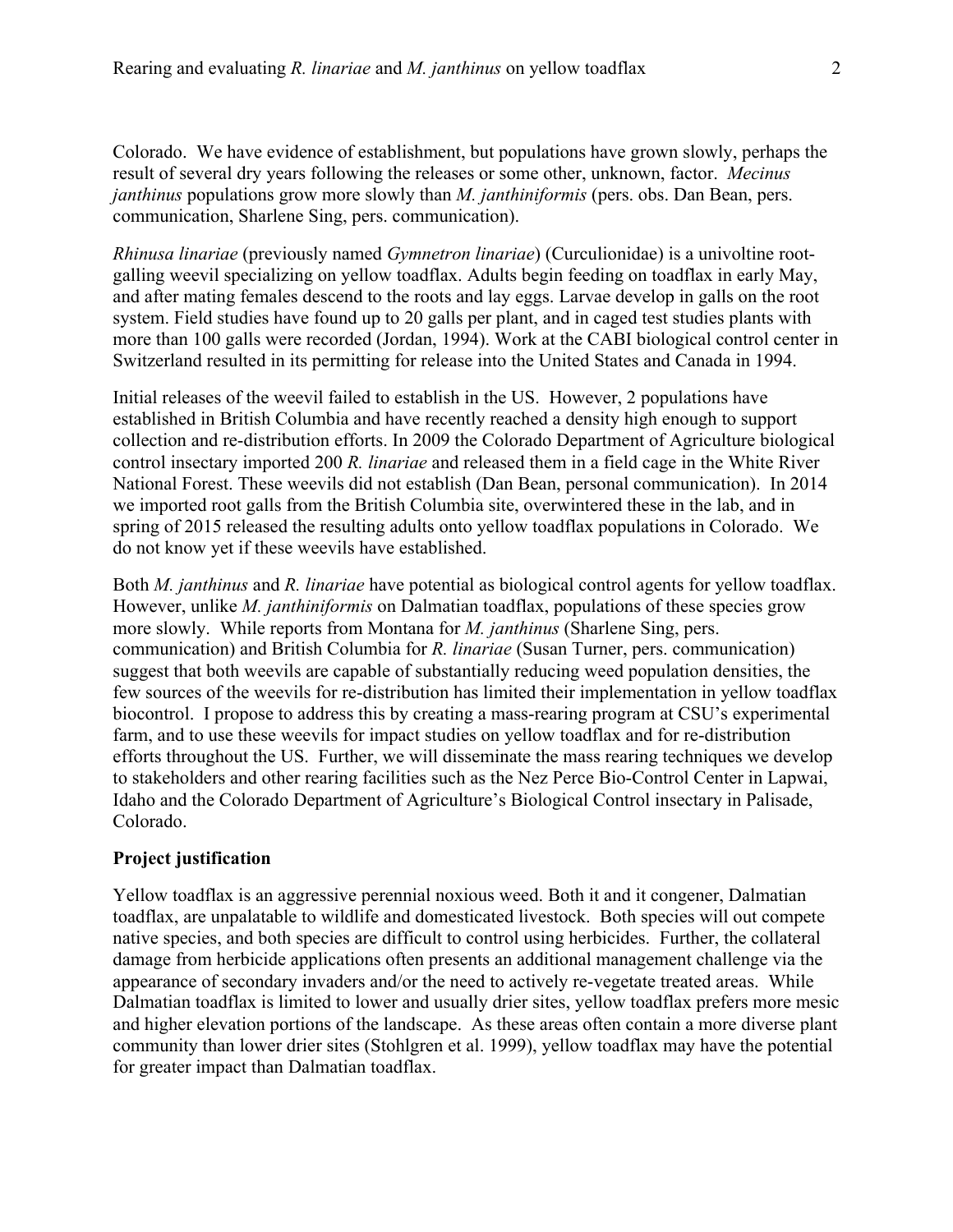Colorado. We have evidence of establishment, but populations have grown slowly, perhaps the result of several dry years following the releases or some other, unknown, factor. *Mecinus janthinus* populations grow more slowly than *M. janthiniformis* (pers. obs. Dan Bean, pers. communication, Sharlene Sing, pers. communication).

*Rhinusa linariae* (previously named *Gymnetron linariae*) (Curculionidae) is a univoltine rootgalling weevil specializing on yellow toadflax. Adults begin feeding on toadflax in early May, and after mating females descend to the roots and lay eggs. Larvae develop in galls on the root system. Field studies have found up to 20 galls per plant, and in caged test studies plants with more than 100 galls were recorded (Jordan, 1994). Work at the CABI biological control center in Switzerland resulted in its permitting for release into the United States and Canada in 1994.

 do not know yet if these weevils have established. Initial releases of the weevil failed to establish in the US. However, 2 populations have established in British Columbia and have recently reached a density high enough to support collection and re-distribution efforts. In 2009 the Colorado Department of Agriculture biological control insectary imported 200 *R. linariae* and released them in a field cage in the White River National Forest. These weevils did not establish (Dan Bean, personal communication). In 2014 we imported root galls from the British Columbia site, overwintered these in the lab, and in spring of 2015 released the resulting adults onto yellow toadflax populations in Colorado. We

Both *M. janthinus* and *R. linariae* have potential as biological control agents for yellow toadflax. However, unlike *M. janthiniformis* on Dalmatian toadflax, populations of these species grow more slowly. While reports from Montana for *M. janthinus* (Sharlene Sing, pers. communication) and British Columbia for *R. linariae* (Susan Turner, pers. communication) suggest that both weevils are capable of substantially reducing weed population densities, the few sources of the weevils for re-distribution has limited their implementation in yellow toadflax biocontrol. I propose to address this by creating a mass-rearing program at CSU's experimental farm, and to use these weevils for impact studies on yellow toadflax and for re-distribution efforts throughout the US. Further, we will disseminate the mass rearing techniques we develop to stakeholders and other rearing facilities such as the Nez Perce Bio-Control Center in Lapwai, Idaho and the Colorado Department of Agriculture's Biological Control insectary in Palisade, Colorado.

#### **Project justification**

 and higher elevation portions of the landscape. As these areas often contain a more diverse plant for greater impact than Dalmatian toadflax. Yellow toadflax is an aggressive perennial noxious weed. Both it and it congener, Dalmatian toadflax, are unpalatable to wildlife and domesticated livestock. Both species will out compete native species, and both species are difficult to control using herbicides. Further, the collateral damage from herbicide applications often presents an additional management challenge via the appearance of secondary invaders and/or the need to actively re-vegetate treated areas. While Dalmatian toadflax is limited to lower and usually drier sites, yellow toadflax prefers more mesic community than lower drier sites (Stohlgren et al. 1999), yellow toadflax may have the potential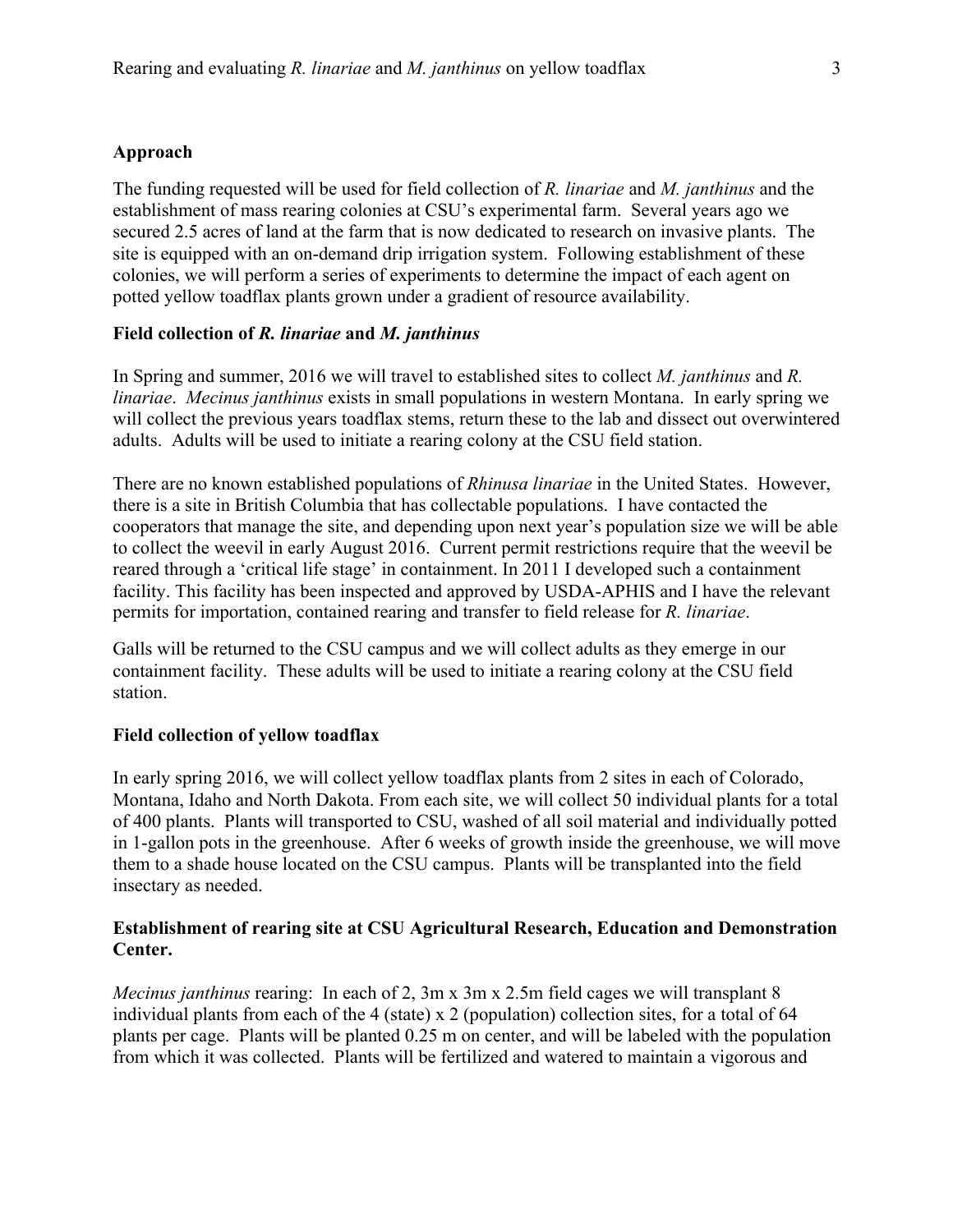#### **Approach**

 The funding requested will be used for field collection of *R. linariae* and *M. janthinus* and the establishment of mass rearing colonies at CSU's experimental farm. Several years ago we colonies, we will perform a series of experiments to determine the impact of each agent on secured 2.5 acres of land at the farm that is now dedicated to research on invasive plants. The site is equipped with an on-demand drip irrigation system. Following establishment of these potted yellow toadflax plants grown under a gradient of resource availability.

#### **Field collection of** *R. linariae* **and** *M. janthinus*

 adults. Adults will be used to initiate a rearing colony at the CSU field station. In Spring and summer, 2016 we will travel to established sites to collect *M. janthinus* and *R. linariae*. *Mecinus janthinus* exists in small populations in western Montana. In early spring we will collect the previous years toadflax stems, return these to the lab and dissect out overwintered

There are no known established populations of *Rhinusa linariae* in the United States. However, there is a site in British Columbia that has collectable populations. I have contacted the cooperators that manage the site, and depending upon next year's population size we will be able to collect the weevil in early August 2016. Current permit restrictions require that the weevil be reared through a 'critical life stage' in containment. In 2011 I developed such a containment facility. This facility has been inspected and approved by USDA-APHIS and I have the relevant permits for importation, contained rearing and transfer to field release for *R. linariae*.

Galls will be returned to the CSU campus and we will collect adults as they emerge in our containment facility. These adults will be used to initiate a rearing colony at the CSU field station.

#### **Field collection of yellow toadflax**

 Montana, Idaho and North Dakota. From each site, we will collect 50 individual plants for a total in 1-gallon pots in the greenhouse. After 6 weeks of growth inside the greenhouse, we will move In early spring 2016, we will collect yellow toadflax plants from 2 sites in each of Colorado, of 400 plants. Plants will transported to CSU, washed of all soil material and individually potted them to a shade house located on the CSU campus. Plants will be transplanted into the field insectary as needed.

## **Establishment of rearing site at CSU Agricultural Research, Education and Demonstration Center.**

*Mecinus janthinus* rearing: In each of 2, 3m x 3m x 2.5m field cages we will transplant 8 individual plants from each of the 4 (state) x 2 (population) collection sites, for a total of 64 plants per cage. Plants will be planted 0.25 m on center, and will be labeled with the population from which it was collected. Plants will be fertilized and watered to maintain a vigorous and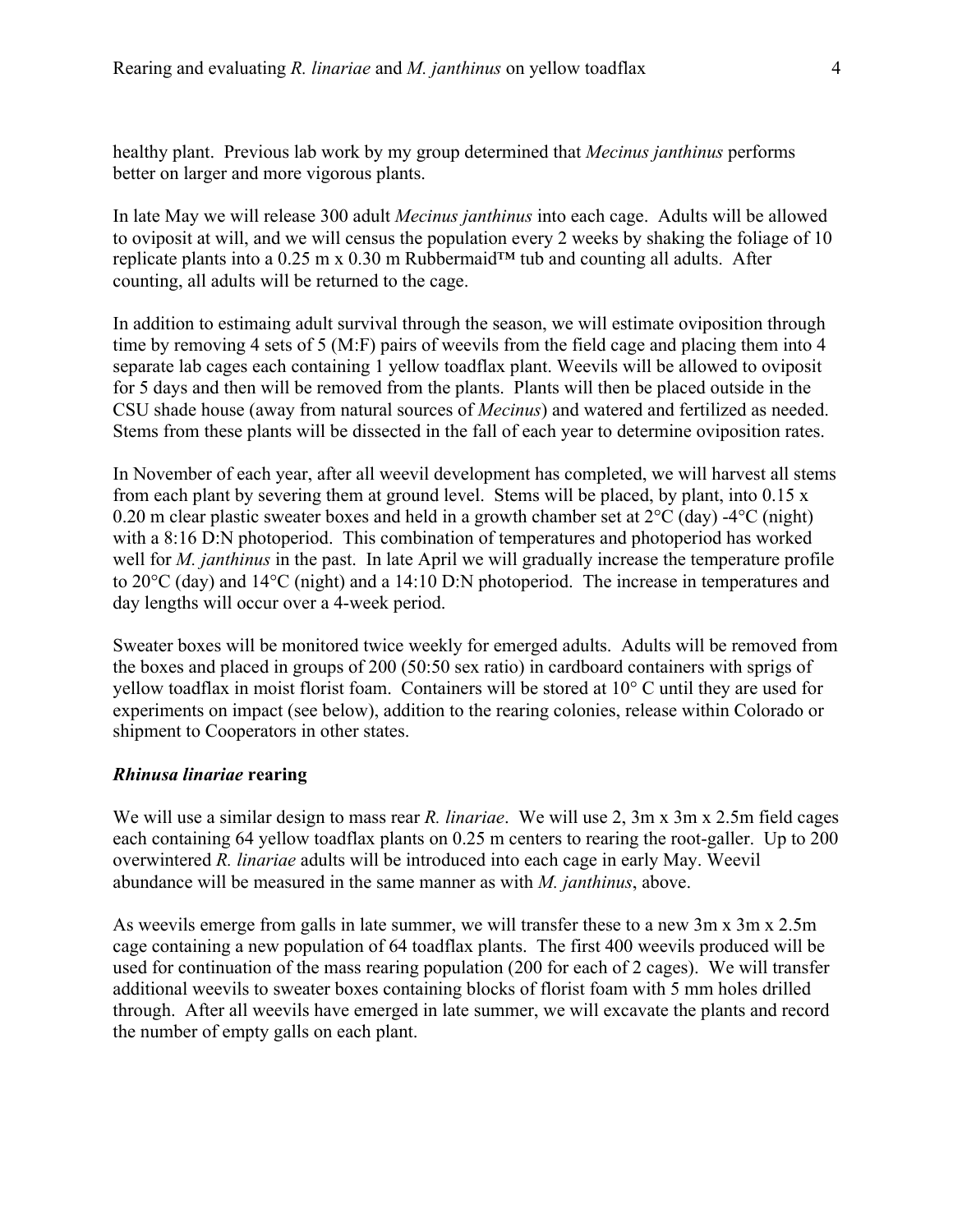healthy plant. Previous lab work by my group determined that *Mecinus janthinus* performs better on larger and more vigorous plants.

In late May we will release 300 adult *Mecinus janthinus* into each cage. Adults will be allowed to oviposit at will, and we will census the population every 2 weeks by shaking the foliage of 10 replicate plants into a 0.25 m x 0.30 m Rubbermaid<sup>TM</sup> tub and counting all adults. After counting, all adults will be returned to the cage.

In addition to estimaing adult survival through the season, we will estimate oviposition through time by removing 4 sets of 5 (M:F) pairs of weevils from the field cage and placing them into 4 separate lab cages each containing 1 yellow toadflax plant. Weevils will be allowed to oviposit for 5 days and then will be removed from the plants. Plants will then be placed outside in the CSU shade house (away from natural sources of *Mecinus*) and watered and fertilized as needed. Stems from these plants will be dissected in the fall of each year to determine oviposition rates.

In November of each year, after all weevil development has completed, we will harvest all stems from each plant by severing them at ground level. Stems will be placed, by plant, into  $0.15 \times$ 0.20 m clear plastic sweater boxes and held in a growth chamber set at 2°C (day) -4°C (night) with a 8:16 D:N photoperiod. This combination of temperatures and photoperiod has worked well for *M. janthinus* in the past. In late April we will gradually increase the temperature profile to 20°C (day) and 14°C (night) and a 14:10 D:N photoperiod. The increase in temperatures and day lengths will occur over a 4-week period.

Sweater boxes will be monitored twice weekly for emerged adults. Adults will be removed from the boxes and placed in groups of 200 (50:50 sex ratio) in cardboard containers with sprigs of yellow toadflax in moist florist foam. Containers will be stored at 10° C until they are used for experiments on impact (see below), addition to the rearing colonies, release within Colorado or shipment to Cooperators in other states.

#### *Rhinusa linariae* **rearing**

 abundance will be measured in the same manner as with *M. janthinus*, above. We will use a similar design to mass rear *R. linariae*. We will use 2, 3m x 3m x 2.5m field cages each containing 64 yellow toadflax plants on 0.25 m centers to rearing the root-galler. Up to 200 overwintered *R. linariae* adults will be introduced into each cage in early May. Weevil

As weevils emerge from galls in late summer, we will transfer these to a new 3m x 3m x 2.5m cage containing a new population of 64 toadflax plants. The first 400 weevils produced will be used for continuation of the mass rearing population (200 for each of 2 cages). We will transfer additional weevils to sweater boxes containing blocks of florist foam with 5 mm holes drilled through. After all weevils have emerged in late summer, we will excavate the plants and record the number of empty galls on each plant.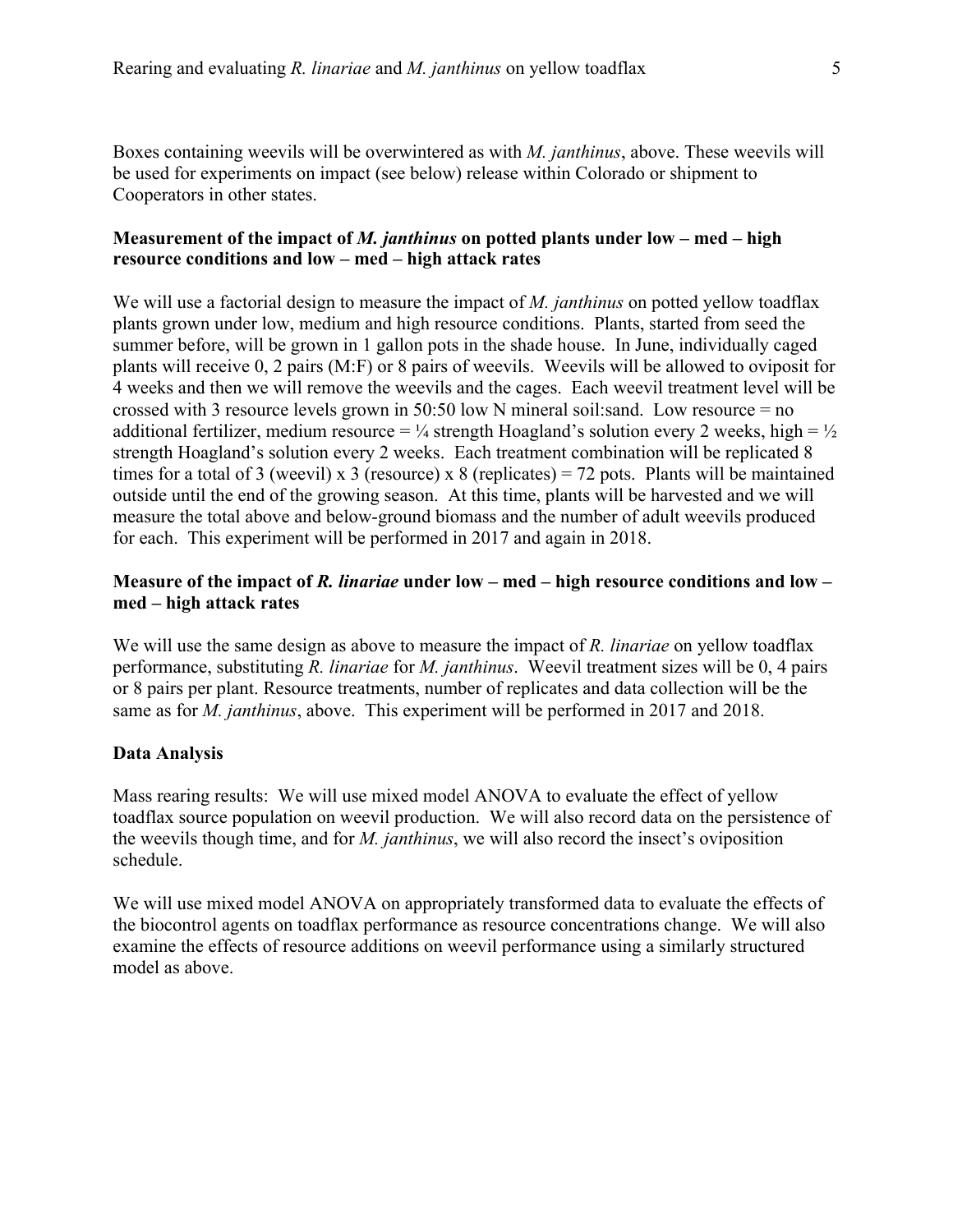Boxes containing weevils will be overwintered as with *M. janthinus*, above. These weevils will be used for experiments on impact (see below) release within Colorado or shipment to Cooperators in other states.

## **Measurement of the impact of** *M. janthinus* **on potted plants under low – med – high resource conditions and low – med – high attack rates**

 plants will receive 0, 2 pairs (M:F) or 8 pairs of weevils. Weevils will be allowed to oviposit for We will use a factorial design to measure the impact of *M. janthinus* on potted yellow toadflax plants grown under low, medium and high resource conditions. Plants, started from seed the summer before, will be grown in 1 gallon pots in the shade house. In June, individually caged 4 weeks and then we will remove the weevils and the cages. Each weevil treatment level will be crossed with 3 resource levels grown in 50:50 low N mineral soil:sand. Low resource = no additional fertilizer, medium resource =  $\frac{1}{4}$  strength Hoagland's solution every 2 weeks, high =  $\frac{1}{2}$ strength Hoagland's solution every 2 weeks. Each treatment combination will be replicated 8 times for a total of 3 (weevil) x 3 (resource) x 8 (replicates) = 72 pots. Plants will be maintained outside until the end of the growing season. At this time, plants will be harvested and we will measure the total above and below-ground biomass and the number of adult weevils produced for each. This experiment will be performed in 2017 and again in 2018.

## **Measure of the impact of** *R. linariae* **under low – med – high resource conditions and low – med – high attack rates**

 We will use the same design as above to measure the impact of *R. linariae* on yellow toadflax performance, substituting *R. linariae* for *M. janthinus*. Weevil treatment sizes will be 0, 4 pairs or 8 pairs per plant. Resource treatments, number of replicates and data collection will be the same as for *M. janthinus*, above. This experiment will be performed in 2017 and 2018.

## **Data Analysis**

Mass rearing results: We will use mixed model ANOVA to evaluate the effect of yellow toadflax source population on weevil production. We will also record data on the persistence of the weevils though time, and for *M. janthinus*, we will also record the insect's oviposition schedule.

 the biocontrol agents on toadflax performance as resource concentrations change. We will also We will use mixed model ANOVA on appropriately transformed data to evaluate the effects of examine the effects of resource additions on weevil performance using a similarly structured model as above.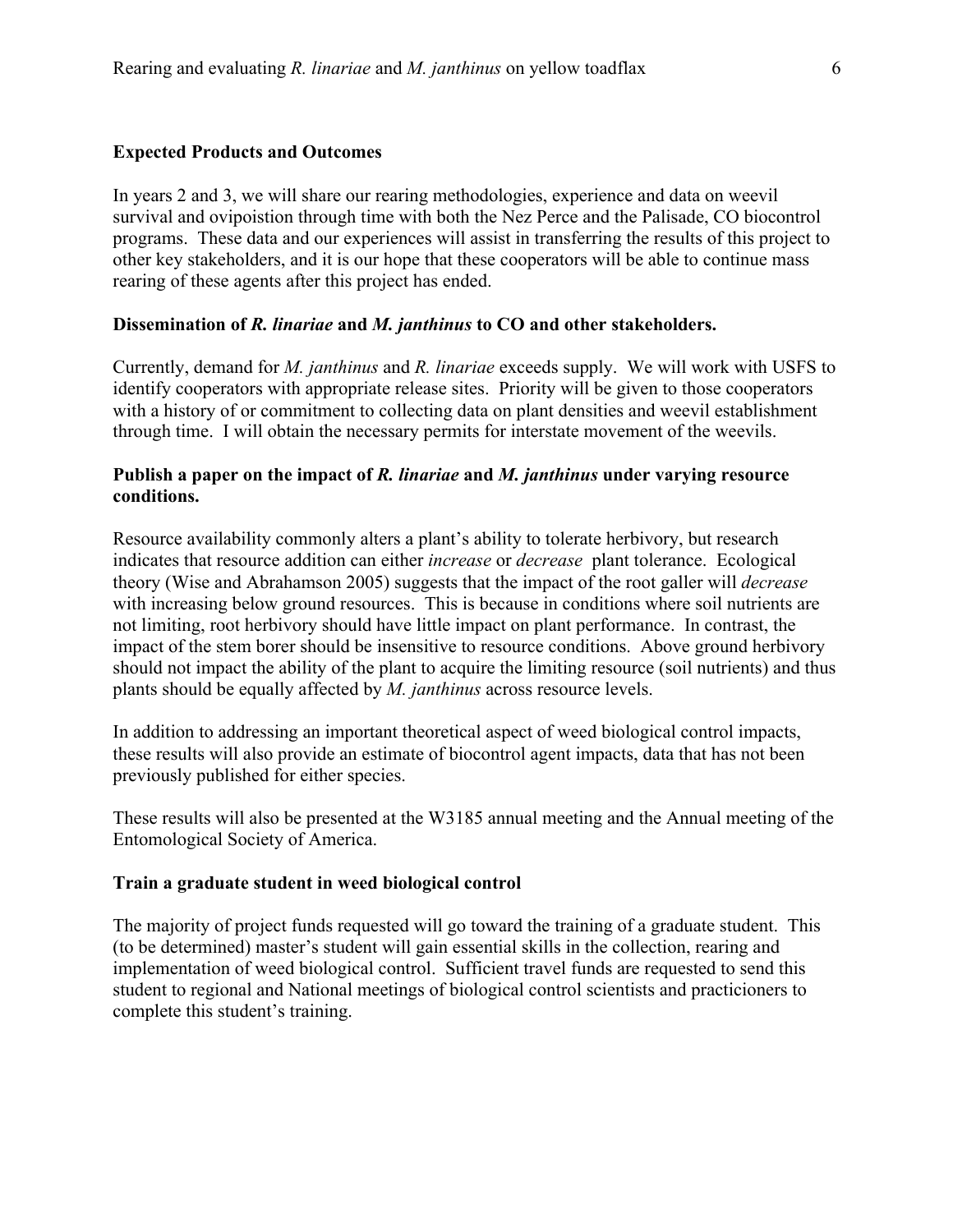#### **Expected Products and Outcomes**

In years 2 and 3, we will share our rearing methodologies, experience and data on weevil survival and ovipoistion through time with both the Nez Perce and the Palisade, CO biocontrol programs. These data and our experiences will assist in transferring the results of this project to other key stakeholders, and it is our hope that these cooperators will be able to continue mass rearing of these agents after this project has ended.

#### **Dissemination of** *R. linariae* **and** *M. janthinus* **to CO and other stakeholders.**

Currently, demand for *M. janthinus* and *R. linariae* exceeds supply. We will work with USFS to identify cooperators with appropriate release sites. Priority will be given to those cooperators with a history of or commitment to collecting data on plant densities and weevil establishment through time. I will obtain the necessary permits for interstate movement of the weevils.

## **Publish a paper on the impact of** *R. linariae* **and** *M. janthinus* **under varying resource conditions.**

 indicates that resource addition can either *increase* or *decrease* plant tolerance. Ecological theory (Wise and Abrahamson 2005) suggests that the impact of the root galler will *decrease*  Resource availability commonly alters a plant's ability to tolerate herbivory, but research with increasing below ground resources. This is because in conditions where soil nutrients are not limiting, root herbivory should have little impact on plant performance. In contrast, the impact of the stem borer should be insensitive to resource conditions. Above ground herbivory should not impact the ability of the plant to acquire the limiting resource (soil nutrients) and thus plants should be equally affected by *M. janthinus* across resource levels.

In addition to addressing an important theoretical aspect of weed biological control impacts, these results will also provide an estimate of biocontrol agent impacts, data that has not been previously published for either species.

These results will also be presented at the W3185 annual meeting and the Annual meeting of the Entomological Society of America.

## **Train a graduate student in weed biological control**

The majority of project funds requested will go toward the training of a graduate student. This (to be determined) master's student will gain essential skills in the collection, rearing and implementation of weed biological control. Sufficient travel funds are requested to send this student to regional and National meetings of biological control scientists and practicioners to complete this student's training.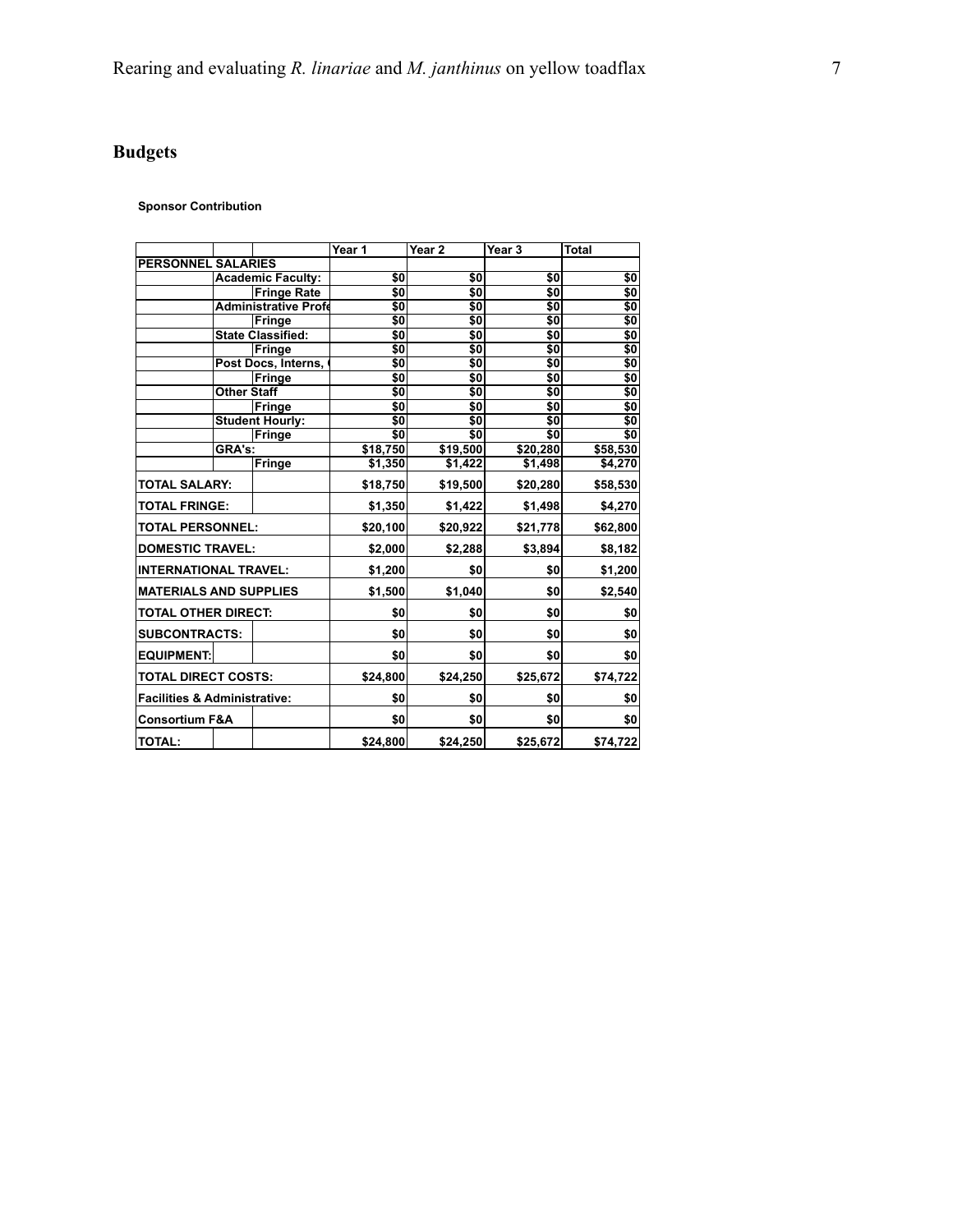# **Budgets**

#### **Sponsor Contribution**

|                                         |                           |                             | Year 1                  | Year <sub>2</sub> | Year 3                       | <b>Total</b>                                                |
|-----------------------------------------|---------------------------|-----------------------------|-------------------------|-------------------|------------------------------|-------------------------------------------------------------|
|                                         | <b>PERSONNEL SALARIES</b> |                             |                         |                   |                              |                                                             |
|                                         | <b>Academic Faculty:</b>  |                             | \$0                     | \$0               | \$0                          | \$0                                                         |
|                                         |                           | <b>Fringe Rate</b>          | \$0                     | \$0               | \$0                          | \$0                                                         |
|                                         |                           | <b>Administrative Profe</b> | \$0                     | \$0               | \$0                          | \$0                                                         |
|                                         |                           | Fringe                      | $\overline{\textbf{S}}$ | \$0               | \$0                          | \$0                                                         |
|                                         |                           | <b>State Classified:</b>    | \$0                     | \$0               | \$0                          | \$0                                                         |
|                                         |                           | <b>Fringe</b>               | \$0                     | \$0               | $\overline{\textbf{S}}$      | \$0                                                         |
|                                         |                           | Post Docs, Interns,         | \$0                     | $\overline{50}$   | \$0                          | \$0                                                         |
|                                         |                           | Fringe                      | \$0                     | \$0               | \$0                          | \$0                                                         |
|                                         | Other Staff               |                             | \$0                     | \$0               | \$0                          | \$0                                                         |
|                                         |                           | Fringe                      | \$0                     | \$0               | \$0                          | \$0                                                         |
|                                         |                           | <b>Student Hourly:</b>      | $\overline{\textbf{S}}$ | \$0               | \$0                          | \$0                                                         |
|                                         |                           | Fringe                      | $\overline{\$0}$        | \$0               | $\overline{\boldsymbol{50}}$ | $\overline{\boldsymbol{\mathsf{s}}\boldsymbol{\mathsf{0}}}$ |
|                                         | GRA's:                    |                             | \$18,750                | \$19,500          | \$20,280                     | \$58,530                                                    |
|                                         |                           | <b>Fringe</b>               | \$1,350                 | \$1,422           | \$1,498                      | \$4,270                                                     |
| <b>TOTAL SALARY:</b>                    |                           | \$18,750                    | \$19,500                | \$20,280          | \$58,530                     |                                                             |
| <b>TOTAL FRINGE:</b>                    |                           | \$1,350                     | \$1,422                 | \$1,498           | \$4,270                      |                                                             |
| <b>TOTAL PERSONNEL:</b>                 |                           | \$20,100                    | \$20,922                | \$21,778          | \$62,800                     |                                                             |
| <b>DOMESTIC TRAVEL:</b>                 |                           | \$2,000                     | \$2,288                 | \$3,894           | \$8,182                      |                                                             |
| <b>INTERNATIONAL TRAVEL:</b>            |                           | \$1,200                     | \$0                     | \$0               | \$1,200                      |                                                             |
| <b>MATERIALS AND SUPPLIES</b>           |                           | \$1,500                     | \$1,040                 | \$0               | \$2,540                      |                                                             |
| <b>TOTAL OTHER DIRECT:</b>              |                           | \$0                         | \$0                     | \$0               | \$0                          |                                                             |
|                                         | <b>SUBCONTRACTS:</b>      |                             | \$0                     | \$0               | \$0                          | \$0                                                         |
| <b>EQUIPMENT:</b>                       |                           |                             | \$0                     | \$0               | \$0                          | \$0                                                         |
| <b>TOTAL DIRECT COSTS:</b>              |                           | \$24,800                    | \$24,250                | \$25,672          | \$74,722                     |                                                             |
| <b>Facilities &amp; Administrative:</b> |                           | \$0                         | \$0                     | \$0               | \$0                          |                                                             |
| <b>Consortium F&amp;A</b>               |                           |                             | \$0                     | \$0               | \$0                          | \$0                                                         |
| <b>TOTAL:</b>                           |                           |                             | \$24,800                | \$24,250          | \$25,672                     | \$74,722                                                    |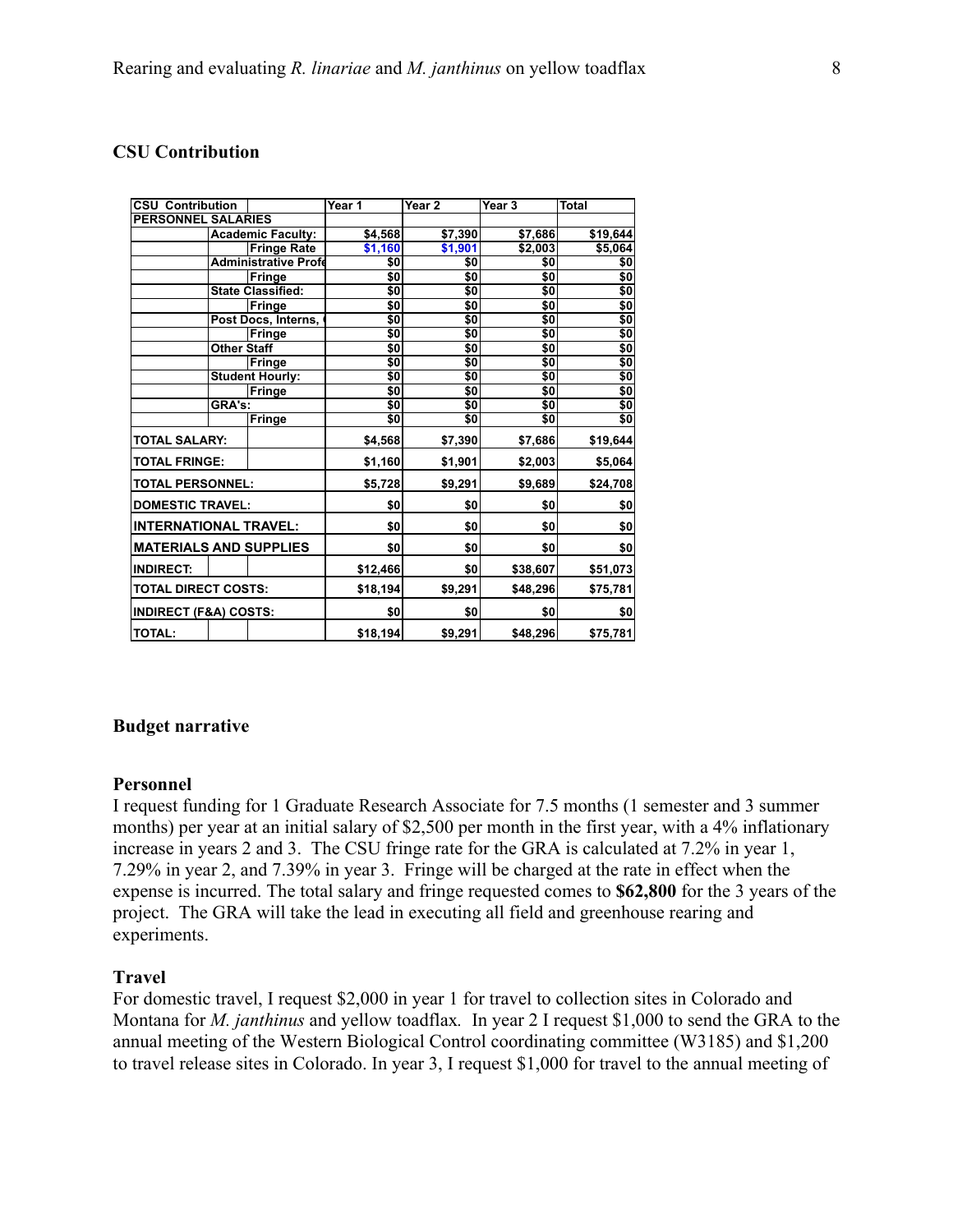## **CSU Contribution**

|                               | <b>CSU Contribution</b>          |                             | Year 1   | Year 2   | Year <sub>3</sub> | <b>Total</b>    |  |
|-------------------------------|----------------------------------|-----------------------------|----------|----------|-------------------|-----------------|--|
| <b>PERSONNEL SALARIES</b>     |                                  |                             |          |          |                   |                 |  |
|                               |                                  | <b>Academic Faculty:</b>    | \$4,568  | \$7,390  | \$7,686           | \$19,644        |  |
|                               |                                  | <b>Fringe Rate</b>          | \$1,160  | \$1,901  | \$2,003           | \$5,064         |  |
|                               |                                  | <b>Administrative Profe</b> | \$0      | \$0      | \$0               | \$0             |  |
|                               |                                  | Fringe                      | \$0      | \$0      | \$0               | \$0             |  |
|                               |                                  | <b>State Classified:</b>    | \$0      | \$0      | \$0               | \$0             |  |
|                               |                                  | Fringe                      | \$0      | \$0      | \$0               | \$0             |  |
|                               |                                  | Post Docs, Interns,         | \$0      | \$0      | \$0               | $\overline{$}$  |  |
|                               |                                  | Fringe                      | \$0      | \$0      | \$0               | $\overline{50}$ |  |
|                               | <b>Other Staff</b>               |                             | \$0      | \$0      | \$0               | \$0             |  |
|                               |                                  | Fringe                      | \$0      | \$0      | \$0               | \$0             |  |
|                               |                                  | <b>Student Hourly:</b>      | \$0      | \$0      | \$0               | \$0             |  |
|                               |                                  | <b>Fringe</b>               | \$0      | \$0      | \$0               | \$0             |  |
|                               | GRA's:                           |                             | \$0      | \$0      | \$0               | \$0             |  |
|                               |                                  | Fringe                      | \$0      | \$0      | \$0               | $\overline{50}$ |  |
|                               | <b>TOTAL SALARY:</b>             |                             | \$4,568  | \$7,390  | \$7,686           | \$19,644        |  |
|                               | <b>TOTAL FRINGE:</b>             |                             | \$1,160  | \$1,901  | \$2,003           | \$5,064         |  |
| <b>TOTAL PERSONNEL:</b>       |                                  | \$5,728                     | \$9,291  | \$9,689  | \$24,708          |                 |  |
|                               | <b>DOMESTIC TRAVEL:</b>          |                             | \$0      | \$0      | \$0               | \$0             |  |
| <b>INTERNATIONAL TRAVEL:</b>  |                                  | \$0                         | \$0      | \$0      | \$0               |                 |  |
| <b>MATERIALS AND SUPPLIES</b> |                                  | \$0                         | \$0      | \$0      | \$0               |                 |  |
| <b>INDIRECT:</b>              |                                  |                             | \$12,466 | \$0      | \$38,607          | \$51,073        |  |
| <b>TOTAL DIRECT COSTS:</b>    |                                  | \$18,194                    | \$9,291  | \$48,296 | \$75,781          |                 |  |
|                               | <b>INDIRECT (F&amp;A) COSTS:</b> |                             | \$0      | \$0      | \$0               | \$0             |  |
| <b>TOTAL:</b>                 |                                  |                             | \$18,194 | \$9,291  | \$48,296          | \$75,781        |  |

#### **Budget narrative**

#### **Personnel**

I request funding for 1 Graduate Research Associate for 7.5 months (1 semester and 3 summer months) per year at an initial salary of \$2,500 per month in the first year, with a 4% inflationary increase in years 2 and 3. The CSU fringe rate for the GRA is calculated at 7.2% in year 1, 7.29% in year 2, and 7.39% in year 3. Fringe will be charged at the rate in effect when the expense is incurred. The total salary and fringe requested comes to **\$62,800** for the 3 years of the project. The GRA will take the lead in executing all field and greenhouse rearing and experiments.

#### **Travel**

 Montana for *M. janthinus* and yellow toadflax*.* In year 2 I request \$1,000 to send the GRA to the For domestic travel, I request \$2,000 in year 1 for travel to collection sites in Colorado and annual meeting of the Western Biological Control coordinating committee (W3185) and \$1,200 to travel release sites in Colorado. In year 3, I request \$1,000 for travel to the annual meeting of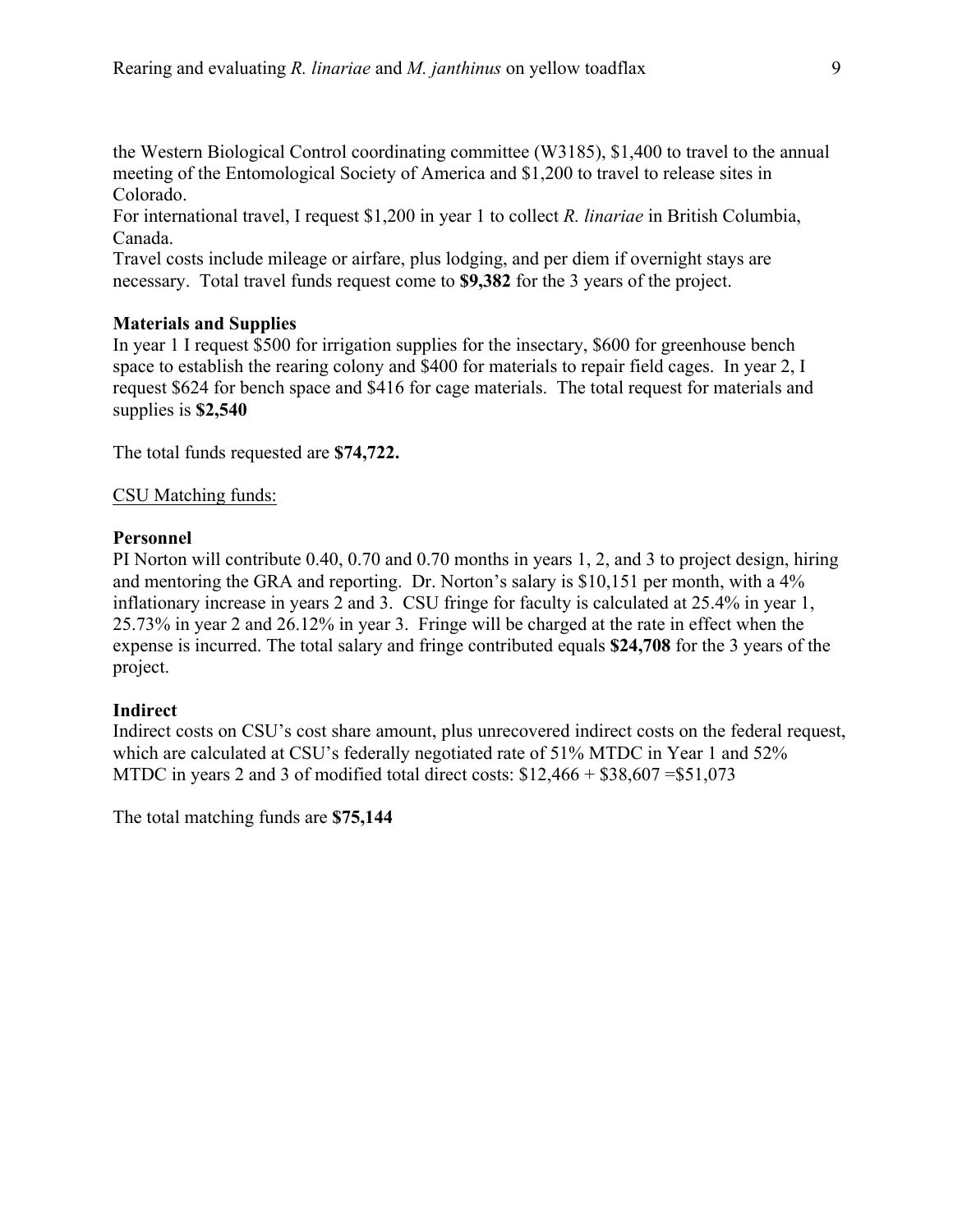the Western Biological Control coordinating committee (W3185), \$1,400 to travel to the annual meeting of the Entomological Society of America and \$1,200 to travel to release sites in Colorado.

For international travel, I request \$1,200 in year 1 to collect *R. linariae* in British Columbia, Canada.

Travel costs include mileage or airfare, plus lodging, and per diem if overnight stays are necessary. Total travel funds request come to **\$9,382** for the 3 years of the project.

## **Materials and Supplies**

 supplies is **\$2,540**  In year 1 I request \$500 for irrigation supplies for the insectary, \$600 for greenhouse bench space to establish the rearing colony and \$400 for materials to repair field cages. In year 2, I request \$624 for bench space and \$416 for cage materials. The total request for materials and

The total funds requested are **\$74,722.** 

## CSU Matching funds:

## **Personnel**

 expense is incurred. The total salary and fringe contributed equals **\$24,708** for the 3 years of the PI Norton will contribute 0.40, 0.70 and 0.70 months in years 1, 2, and 3 to project design, hiring and mentoring the GRA and reporting. Dr. Norton's salary is \$10,151 per month, with a 4% inflationary increase in years 2 and 3. CSU fringe for faculty is calculated at 25.4% in year 1, 25.73% in year 2 and 26.12% in year 3. Fringe will be charged at the rate in effect when the project.

## **Indirect**

 Indirect costs on CSU's cost share amount, plus unrecovered indirect costs on the federal request, which are calculated at CSU's federally negotiated rate of 51% MTDC in Year 1 and 52% MTDC in years 2 and 3 of modified total direct costs:  $$12,466 + $38,607 = $51,073$ 

The total matching funds are **\$75,144**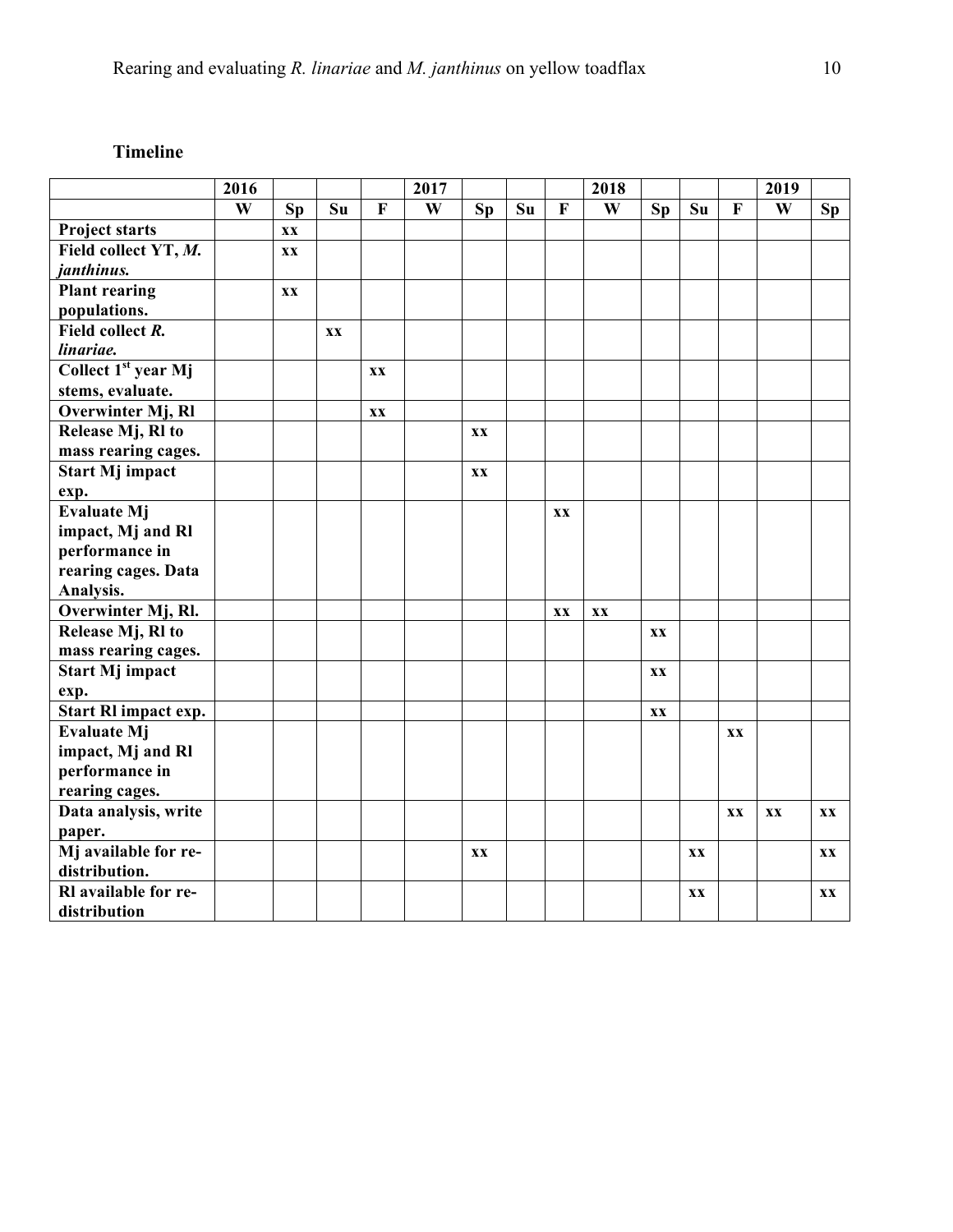# **Timeline**

|                                 | 2016 |           |    |    | 2017 |           |    |    | 2018 |           |           |    | 2019 |    |
|---------------------------------|------|-----------|----|----|------|-----------|----|----|------|-----------|-----------|----|------|----|
|                                 | W    | <b>Sp</b> | Su | F  | W    | <b>Sp</b> | Su | F  | W    | <b>Sp</b> | Su        | F  | W    | Sp |
| <b>Project starts</b>           |      | XX        |    |    |      |           |    |    |      |           |           |    |      |    |
| Field collect YT, M.            |      | XX        |    |    |      |           |    |    |      |           |           |    |      |    |
| janthinus.                      |      |           |    |    |      |           |    |    |      |           |           |    |      |    |
| <b>Plant rearing</b>            |      | XX        |    |    |      |           |    |    |      |           |           |    |      |    |
| populations.                    |      |           |    |    |      |           |    |    |      |           |           |    |      |    |
| Field collect R.                |      |           | XX |    |      |           |    |    |      |           |           |    |      |    |
| linariae.                       |      |           |    |    |      |           |    |    |      |           |           |    |      |    |
| Collect 1 <sup>st</sup> year Mj |      |           |    | XX |      |           |    |    |      |           |           |    |      |    |
| stems, evaluate.                |      |           |    |    |      |           |    |    |      |           |           |    |      |    |
| Overwinter Mj, Rl               |      |           |    | XX |      |           |    |    |      |           |           |    |      |    |
| Release Mj, Rl to               |      |           |    |    |      | XX        |    |    |      |           |           |    |      |    |
| mass rearing cages.             |      |           |    |    |      |           |    |    |      |           |           |    |      |    |
| <b>Start Mj impact</b>          |      |           |    |    |      | XX        |    |    |      |           |           |    |      |    |
| exp.                            |      |           |    |    |      |           |    |    |      |           |           |    |      |    |
| <b>Evaluate Mj</b>              |      |           |    |    |      |           |    | XX |      |           |           |    |      |    |
| impact, Mj and Rl               |      |           |    |    |      |           |    |    |      |           |           |    |      |    |
| performance in                  |      |           |    |    |      |           |    |    |      |           |           |    |      |    |
| rearing cages. Data             |      |           |    |    |      |           |    |    |      |           |           |    |      |    |
| Analysis.                       |      |           |    |    |      |           |    |    |      |           |           |    |      |    |
| Overwinter Mj, Rl.              |      |           |    |    |      |           |    | XX | XX   |           |           |    |      |    |
| Release Mj, Rl to               |      |           |    |    |      |           |    |    |      | XX        |           |    |      |    |
| mass rearing cages.             |      |           |    |    |      |           |    |    |      |           |           |    |      |    |
| <b>Start Mj impact</b>          |      |           |    |    |      |           |    |    |      | XX        |           |    |      |    |
| exp.                            |      |           |    |    |      |           |    |    |      |           |           |    |      |    |
| Start RI impact exp.            |      |           |    |    |      |           |    |    |      | XX        |           |    |      |    |
| Evaluate Mj                     |      |           |    |    |      |           |    |    |      |           |           | XX |      |    |
| impact, Mj and Rl               |      |           |    |    |      |           |    |    |      |           |           |    |      |    |
| performance in                  |      |           |    |    |      |           |    |    |      |           |           |    |      |    |
| rearing cages.                  |      |           |    |    |      |           |    |    |      |           |           |    |      |    |
| Data analysis, write            |      |           |    |    |      |           |    |    |      |           |           | XX | XX   | XX |
| paper.                          |      |           |    |    |      |           |    |    |      |           |           |    |      |    |
| Mj available for re-            |      |           |    |    |      | <b>XX</b> |    |    |      |           | <b>XX</b> |    |      | XX |
| distribution.                   |      |           |    |    |      |           |    |    |      |           |           |    |      |    |
| Rl available for re-            |      |           |    |    |      |           |    |    |      |           | XX        |    |      | XX |
| distribution                    |      |           |    |    |      |           |    |    |      |           |           |    |      |    |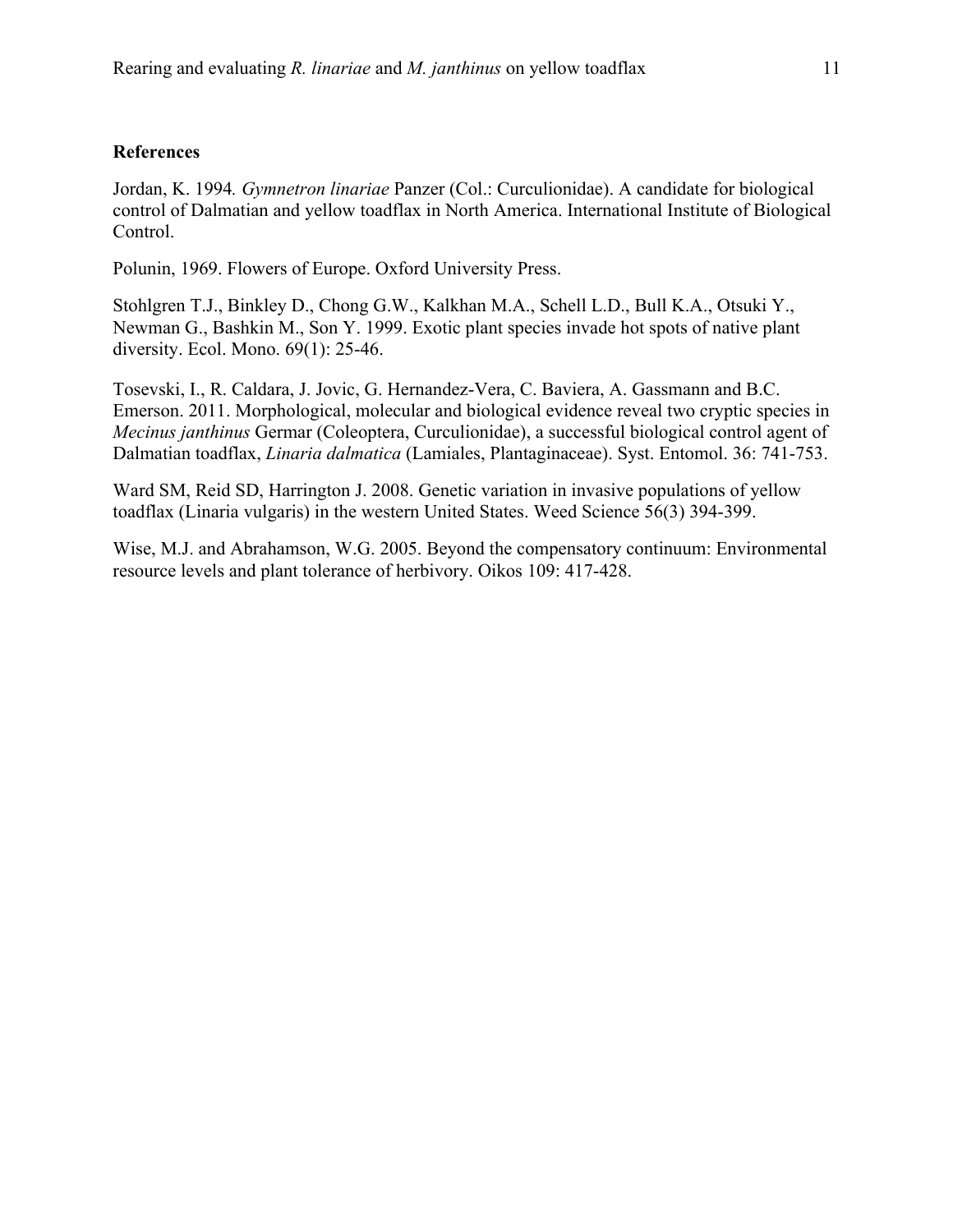#### **References**

Jordan, K. 1994*. Gymnetron linariae* Panzer (Col.: Curculionidae). A candidate for biological control of Dalmatian and yellow toadflax in North America. International Institute of Biological Control.

Polunin, 1969. Flowers of Europe. Oxford University Press.

Stohlgren T.J., Binkley D., Chong G.W., Kalkhan M.A., Schell L.D., Bull K.A., Otsuki Y., Newman G., Bashkin M., Son Y. 1999. Exotic plant species invade hot spots of native plant diversity. Ecol. Mono. 69(1): 25-46.

Tosevski, I., R. Caldara, J. Jovic, G. Hernandez-Vera, C. Baviera, A. Gassmann and B.C. Emerson. 2011. Morphological, molecular and biological evidence reveal two cryptic species in *Mecinus janthinus* Germar (Coleoptera, Curculionidae), a successful biological control agent of Dalmatian toadflax, *Linaria dalmatica* (Lamiales, Plantaginaceae). Syst. Entomol. 36: 741-753.

 toadflax (Linaria vulgaris) in the western United States. Weed Science 56(3) 394-399. Ward SM, Reid SD, Harrington J. 2008. Genetic variation in invasive populations of yellow

Wise, M.J. and Abrahamson, W.G. 2005. Beyond the compensatory continuum: Environmental resource levels and plant tolerance of herbivory. Oikos 109: 417-428.